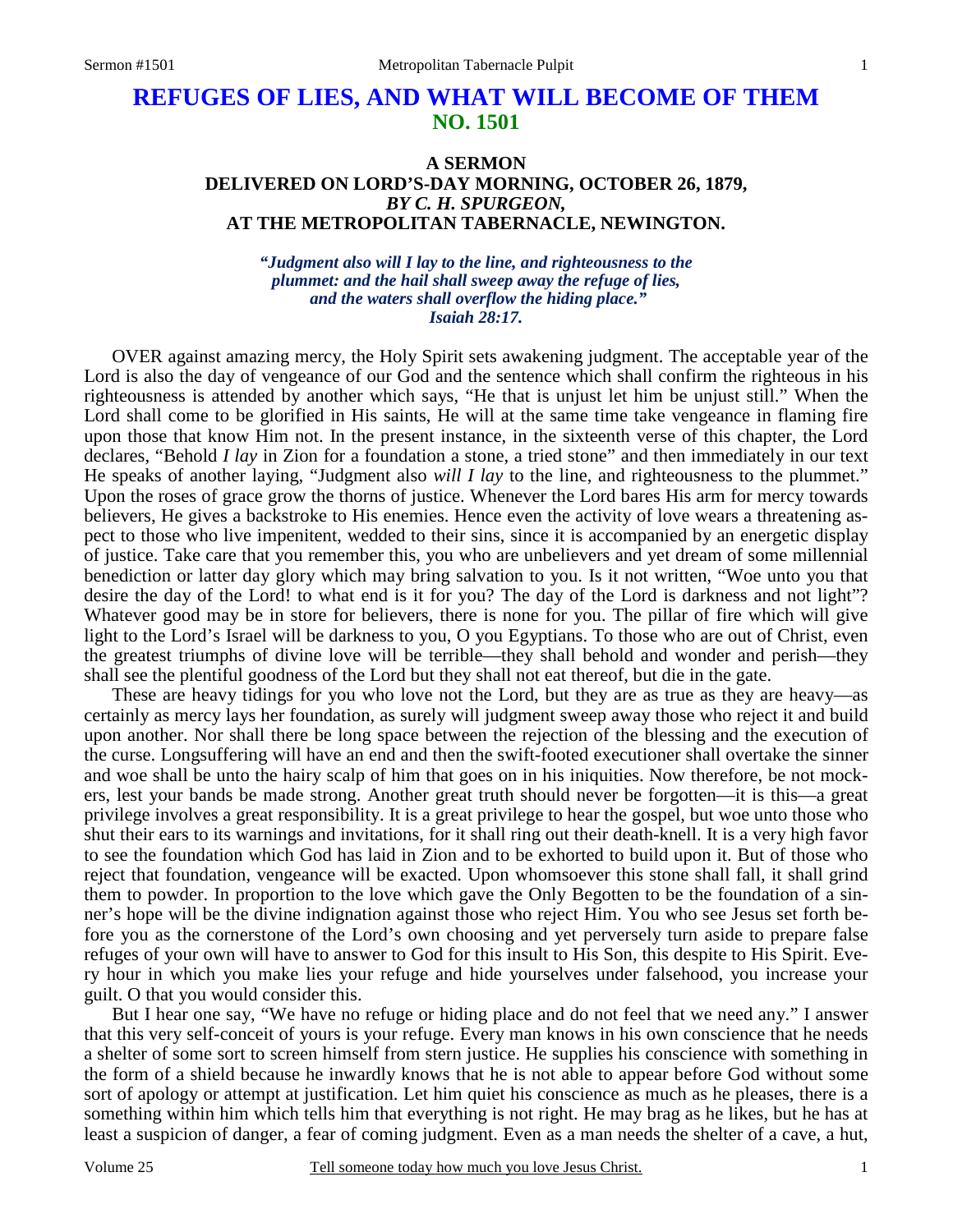## **REFUGES OF LIES, AND WHAT WILL BECOME OF THEM NO. 1501**

## **A SERMON DELIVERED ON LORD'S-DAY MORNING, OCTOBER 26, 1879,**  *BY C. H. SPURGEON,*  **AT THE METROPOLITAN TABERNACLE, NEWINGTON.**

*"Judgment also will I lay to the line, and righteousness to the plummet: and the hail shall sweep away the refuge of lies, and the waters shall overflow the hiding place." Isaiah 28:17.* 

OVER against amazing mercy, the Holy Spirit sets awakening judgment. The acceptable year of the Lord is also the day of vengeance of our God and the sentence which shall confirm the righteous in his righteousness is attended by another which says, "He that is unjust let him be unjust still." When the Lord shall come to be glorified in His saints, He will at the same time take vengeance in flaming fire upon those that know Him not. In the present instance, in the sixteenth verse of this chapter, the Lord declares, "Behold *I lay* in Zion for a foundation a stone, a tried stone" and then immediately in our text He speaks of another laying, "Judgment also *will I lay* to the line, and righteousness to the plummet." Upon the roses of grace grow the thorns of justice. Whenever the Lord bares His arm for mercy towards believers, He gives a backstroke to His enemies. Hence even the activity of love wears a threatening aspect to those who live impenitent, wedded to their sins, since it is accompanied by an energetic display of justice. Take care that you remember this, you who are unbelievers and yet dream of some millennial benediction or latter day glory which may bring salvation to you. Is it not written, "Woe unto you that desire the day of the Lord! to what end is it for you? The day of the Lord is darkness and not light"? Whatever good may be in store for believers, there is none for you. The pillar of fire which will give light to the Lord's Israel will be darkness to you, O you Egyptians. To those who are out of Christ, even the greatest triumphs of divine love will be terrible—they shall behold and wonder and perish—they shall see the plentiful goodness of the Lord but they shall not eat thereof, but die in the gate.

 These are heavy tidings for you who love not the Lord, but they are as true as they are heavy—as certainly as mercy lays her foundation, as surely will judgment sweep away those who reject it and build upon another. Nor shall there be long space between the rejection of the blessing and the execution of the curse. Longsuffering will have an end and then the swift-footed executioner shall overtake the sinner and woe shall be unto the hairy scalp of him that goes on in his iniquities. Now therefore, be not mockers, lest your bands be made strong. Another great truth should never be forgotten—it is this—a great privilege involves a great responsibility. It is a great privilege to hear the gospel, but woe unto those who shut their ears to its warnings and invitations, for it shall ring out their death-knell. It is a very high favor to see the foundation which God has laid in Zion and to be exhorted to build upon it. But of those who reject that foundation, vengeance will be exacted. Upon whomsoever this stone shall fall, it shall grind them to powder. In proportion to the love which gave the Only Begotten to be the foundation of a sinner's hope will be the divine indignation against those who reject Him. You who see Jesus set forth before you as the cornerstone of the Lord's own choosing and yet perversely turn aside to prepare false refuges of your own will have to answer to God for this insult to His Son, this despite to His Spirit. Every hour in which you make lies your refuge and hide yourselves under falsehood, you increase your guilt. O that you would consider this.

 But I hear one say, "We have no refuge or hiding place and do not feel that we need any." I answer that this very self-conceit of yours is your refuge. Every man knows in his own conscience that he needs a shelter of some sort to screen himself from stern justice. He supplies his conscience with something in the form of a shield because he inwardly knows that he is not able to appear before God without some sort of apology or attempt at justification. Let him quiet his conscience as much as he pleases, there is a something within him which tells him that everything is not right. He may brag as he likes, but he has at least a suspicion of danger, a fear of coming judgment. Even as a man needs the shelter of a cave, a hut,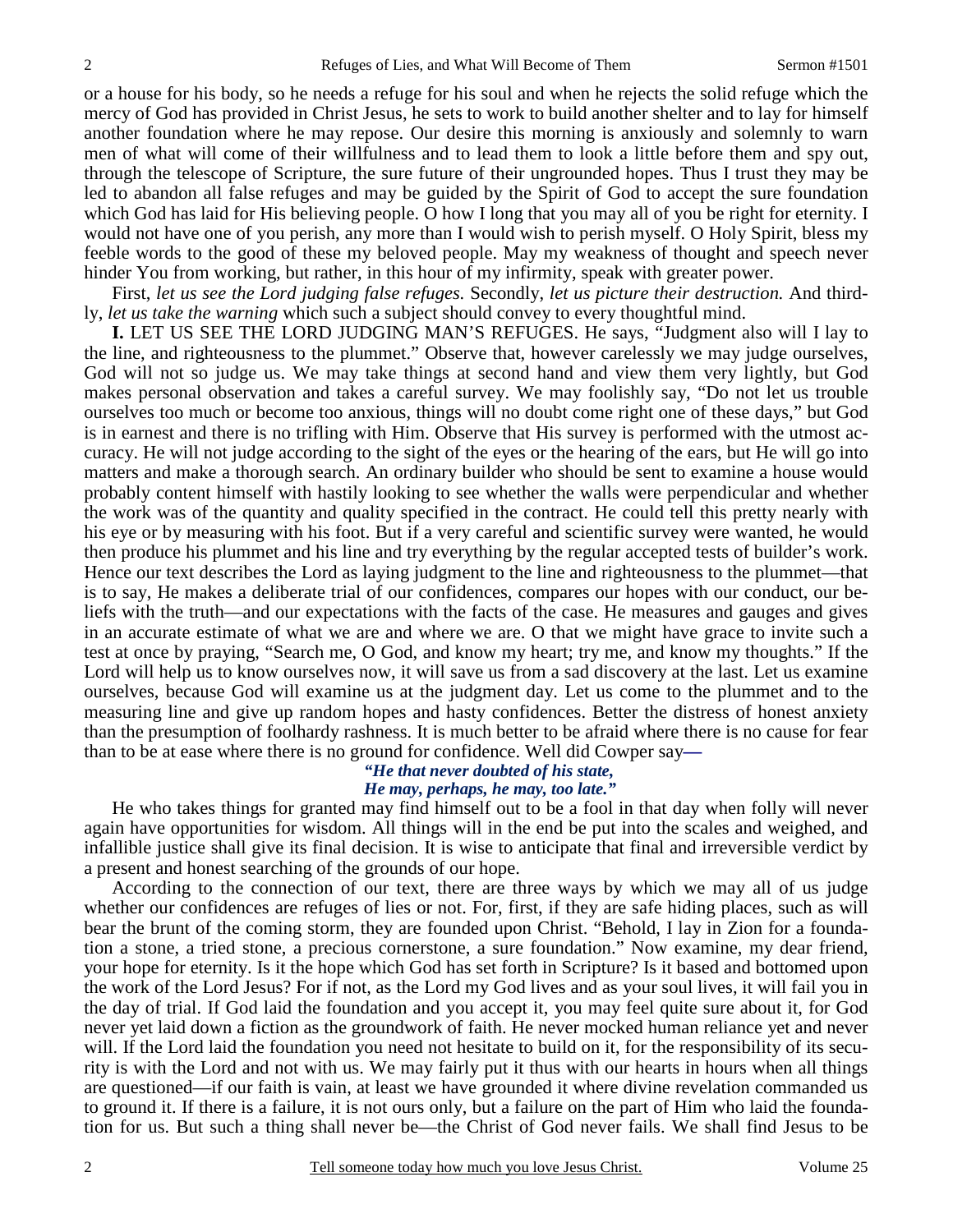or a house for his body, so he needs a refuge for his soul and when he rejects the solid refuge which the mercy of God has provided in Christ Jesus, he sets to work to build another shelter and to lay for himself another foundation where he may repose. Our desire this morning is anxiously and solemnly to warn men of what will come of their willfulness and to lead them to look a little before them and spy out, through the telescope of Scripture, the sure future of their ungrounded hopes. Thus I trust they may be led to abandon all false refuges and may be guided by the Spirit of God to accept the sure foundation which God has laid for His believing people. O how I long that you may all of you be right for eternity. I would not have one of you perish, any more than I would wish to perish myself. O Holy Spirit, bless my feeble words to the good of these my beloved people. May my weakness of thought and speech never hinder You from working, but rather, in this hour of my infirmity, speak with greater power.

 First, *let us see the Lord judging false refuges.* Secondly, *let us picture their destruction.* And thirdly, *let us take the warning* which such a subject should convey to every thoughtful mind.

**I.** LET US SEE THE LORD JUDGING MAN'S REFUGES. He says, "Judgment also will I lay to the line, and righteousness to the plummet." Observe that, however carelessly we may judge ourselves, God will not so judge us. We may take things at second hand and view them very lightly, but God makes personal observation and takes a careful survey. We may foolishly say, "Do not let us trouble ourselves too much or become too anxious, things will no doubt come right one of these days," but God is in earnest and there is no trifling with Him. Observe that His survey is performed with the utmost accuracy. He will not judge according to the sight of the eyes or the hearing of the ears, but He will go into matters and make a thorough search. An ordinary builder who should be sent to examine a house would probably content himself with hastily looking to see whether the walls were perpendicular and whether the work was of the quantity and quality specified in the contract. He could tell this pretty nearly with his eye or by measuring with his foot. But if a very careful and scientific survey were wanted, he would then produce his plummet and his line and try everything by the regular accepted tests of builder's work. Hence our text describes the Lord as laying judgment to the line and righteousness to the plummet—that is to say, He makes a deliberate trial of our confidences, compares our hopes with our conduct, our beliefs with the truth—and our expectations with the facts of the case. He measures and gauges and gives in an accurate estimate of what we are and where we are. O that we might have grace to invite such a test at once by praying, "Search me, O God, and know my heart; try me, and know my thoughts." If the Lord will help us to know ourselves now, it will save us from a sad discovery at the last. Let us examine ourselves, because God will examine us at the judgment day. Let us come to the plummet and to the measuring line and give up random hopes and hasty confidences. Better the distress of honest anxiety than the presumption of foolhardy rashness. It is much better to be afraid where there is no cause for fear than to be at ease where there is no ground for confidence. Well did Cowper say*—*

## *"He that never doubted of his state, He may, perhaps, he may, too late."*

He who takes things for granted may find himself out to be a fool in that day when folly will never again have opportunities for wisdom. All things will in the end be put into the scales and weighed, and infallible justice shall give its final decision. It is wise to anticipate that final and irreversible verdict by a present and honest searching of the grounds of our hope.

 According to the connection of our text, there are three ways by which we may all of us judge whether our confidences are refuges of lies or not. For, first, if they are safe hiding places, such as will bear the brunt of the coming storm, they are founded upon Christ. "Behold, I lay in Zion for a foundation a stone, a tried stone, a precious cornerstone, a sure foundation." Now examine, my dear friend, your hope for eternity. Is it the hope which God has set forth in Scripture? Is it based and bottomed upon the work of the Lord Jesus? For if not, as the Lord my God lives and as your soul lives, it will fail you in the day of trial. If God laid the foundation and you accept it, you may feel quite sure about it, for God never yet laid down a fiction as the groundwork of faith. He never mocked human reliance yet and never will. If the Lord laid the foundation you need not hesitate to build on it, for the responsibility of its security is with the Lord and not with us. We may fairly put it thus with our hearts in hours when all things are questioned—if our faith is vain, at least we have grounded it where divine revelation commanded us to ground it. If there is a failure, it is not ours only, but a failure on the part of Him who laid the foundation for us. But such a thing shall never be—the Christ of God never fails. We shall find Jesus to be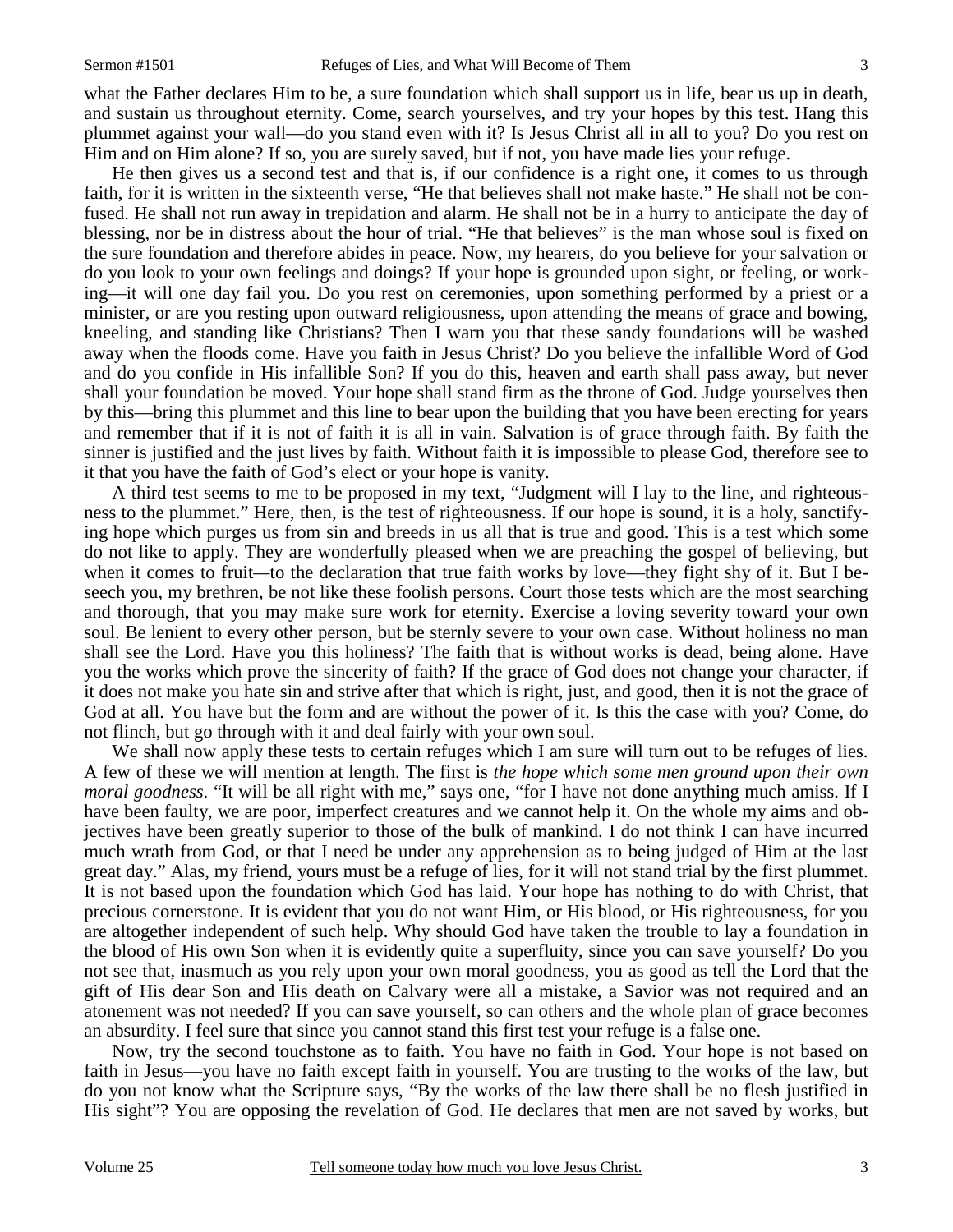what the Father declares Him to be, a sure foundation which shall support us in life, bear us up in death, and sustain us throughout eternity. Come, search yourselves, and try your hopes by this test. Hang this plummet against your wall—do you stand even with it? Is Jesus Christ all in all to you? Do you rest on Him and on Him alone? If so, you are surely saved, but if not, you have made lies your refuge.

 He then gives us a second test and that is, if our confidence is a right one, it comes to us through faith, for it is written in the sixteenth verse, "He that believes shall not make haste." He shall not be confused. He shall not run away in trepidation and alarm. He shall not be in a hurry to anticipate the day of blessing, nor be in distress about the hour of trial. "He that believes" is the man whose soul is fixed on the sure foundation and therefore abides in peace. Now, my hearers, do you believe for your salvation or do you look to your own feelings and doings? If your hope is grounded upon sight, or feeling, or working—it will one day fail you. Do you rest on ceremonies, upon something performed by a priest or a minister, or are you resting upon outward religiousness, upon attending the means of grace and bowing, kneeling, and standing like Christians? Then I warn you that these sandy foundations will be washed away when the floods come. Have you faith in Jesus Christ? Do you believe the infallible Word of God and do you confide in His infallible Son? If you do this, heaven and earth shall pass away, but never shall your foundation be moved. Your hope shall stand firm as the throne of God. Judge yourselves then by this—bring this plummet and this line to bear upon the building that you have been erecting for years and remember that if it is not of faith it is all in vain. Salvation is of grace through faith. By faith the sinner is justified and the just lives by faith. Without faith it is impossible to please God, therefore see to it that you have the faith of God's elect or your hope is vanity.

 A third test seems to me to be proposed in my text, "Judgment will I lay to the line, and righteousness to the plummet." Here, then, is the test of righteousness. If our hope is sound, it is a holy, sanctifying hope which purges us from sin and breeds in us all that is true and good. This is a test which some do not like to apply. They are wonderfully pleased when we are preaching the gospel of believing, but when it comes to fruit—to the declaration that true faith works by love—they fight shy of it. But I beseech you, my brethren, be not like these foolish persons. Court those tests which are the most searching and thorough, that you may make sure work for eternity. Exercise a loving severity toward your own soul. Be lenient to every other person, but be sternly severe to your own case. Without holiness no man shall see the Lord. Have you this holiness? The faith that is without works is dead, being alone. Have you the works which prove the sincerity of faith? If the grace of God does not change your character, if it does not make you hate sin and strive after that which is right, just, and good, then it is not the grace of God at all. You have but the form and are without the power of it. Is this the case with you? Come, do not flinch, but go through with it and deal fairly with your own soul.

 We shall now apply these tests to certain refuges which I am sure will turn out to be refuges of lies. A few of these we will mention at length. The first is *the hope which some men ground upon their own moral goodness*. "It will be all right with me," says one, "for I have not done anything much amiss. If I have been faulty, we are poor, imperfect creatures and we cannot help it. On the whole my aims and objectives have been greatly superior to those of the bulk of mankind. I do not think I can have incurred much wrath from God, or that I need be under any apprehension as to being judged of Him at the last great day." Alas, my friend, yours must be a refuge of lies, for it will not stand trial by the first plummet. It is not based upon the foundation which God has laid. Your hope has nothing to do with Christ, that precious cornerstone. It is evident that you do not want Him, or His blood, or His righteousness, for you are altogether independent of such help. Why should God have taken the trouble to lay a foundation in the blood of His own Son when it is evidently quite a superfluity, since you can save yourself? Do you not see that, inasmuch as you rely upon your own moral goodness, you as good as tell the Lord that the gift of His dear Son and His death on Calvary were all a mistake, a Savior was not required and an atonement was not needed? If you can save yourself, so can others and the whole plan of grace becomes an absurdity. I feel sure that since you cannot stand this first test your refuge is a false one.

 Now, try the second touchstone as to faith. You have no faith in God. Your hope is not based on faith in Jesus—you have no faith except faith in yourself. You are trusting to the works of the law, but do you not know what the Scripture says, "By the works of the law there shall be no flesh justified in His sight"? You are opposing the revelation of God. He declares that men are not saved by works, but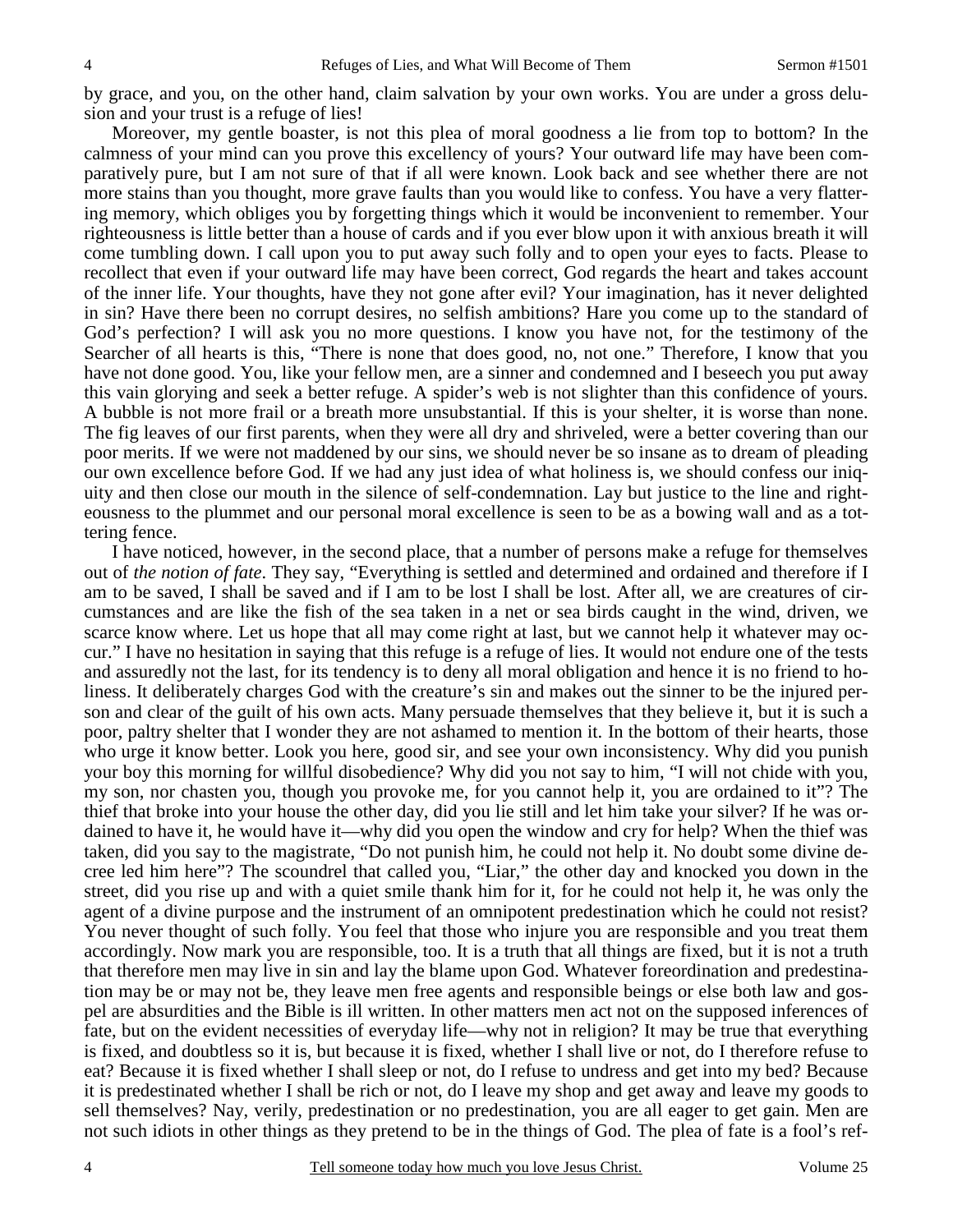by grace, and you, on the other hand, claim salvation by your own works. You are under a gross delusion and your trust is a refuge of lies!

 Moreover, my gentle boaster, is not this plea of moral goodness a lie from top to bottom? In the calmness of your mind can you prove this excellency of yours? Your outward life may have been comparatively pure, but I am not sure of that if all were known. Look back and see whether there are not more stains than you thought, more grave faults than you would like to confess. You have a very flattering memory, which obliges you by forgetting things which it would be inconvenient to remember. Your righteousness is little better than a house of cards and if you ever blow upon it with anxious breath it will come tumbling down. I call upon you to put away such folly and to open your eyes to facts. Please to recollect that even if your outward life may have been correct, God regards the heart and takes account of the inner life. Your thoughts, have they not gone after evil? Your imagination, has it never delighted in sin? Have there been no corrupt desires, no selfish ambitions? Hare you come up to the standard of God's perfection? I will ask you no more questions. I know you have not, for the testimony of the Searcher of all hearts is this, "There is none that does good, no, not one." Therefore, I know that you have not done good. You, like your fellow men, are a sinner and condemned and I beseech you put away this vain glorying and seek a better refuge. A spider's web is not slighter than this confidence of yours. A bubble is not more frail or a breath more unsubstantial. If this is your shelter, it is worse than none. The fig leaves of our first parents, when they were all dry and shriveled, were a better covering than our poor merits. If we were not maddened by our sins, we should never be so insane as to dream of pleading our own excellence before God. If we had any just idea of what holiness is, we should confess our iniquity and then close our mouth in the silence of self-condemnation. Lay but justice to the line and righteousness to the plummet and our personal moral excellence is seen to be as a bowing wall and as a tottering fence.

 I have noticed, however, in the second place, that a number of persons make a refuge for themselves out of *the notion of fate*. They say, "Everything is settled and determined and ordained and therefore if I am to be saved, I shall be saved and if I am to be lost I shall be lost. After all, we are creatures of circumstances and are like the fish of the sea taken in a net or sea birds caught in the wind, driven, we scarce know where. Let us hope that all may come right at last, but we cannot help it whatever may occur." I have no hesitation in saying that this refuge is a refuge of lies. It would not endure one of the tests and assuredly not the last, for its tendency is to deny all moral obligation and hence it is no friend to holiness. It deliberately charges God with the creature's sin and makes out the sinner to be the injured person and clear of the guilt of his own acts. Many persuade themselves that they believe it, but it is such a poor, paltry shelter that I wonder they are not ashamed to mention it. In the bottom of their hearts, those who urge it know better. Look you here, good sir, and see your own inconsistency. Why did you punish your boy this morning for willful disobedience? Why did you not say to him, "I will not chide with you, my son, nor chasten you, though you provoke me, for you cannot help it, you are ordained to it"? The thief that broke into your house the other day, did you lie still and let him take your silver? If he was ordained to have it, he would have it—why did you open the window and cry for help? When the thief was taken, did you say to the magistrate, "Do not punish him, he could not help it. No doubt some divine decree led him here"? The scoundrel that called you, "Liar," the other day and knocked you down in the street, did you rise up and with a quiet smile thank him for it, for he could not help it, he was only the agent of a divine purpose and the instrument of an omnipotent predestination which he could not resist? You never thought of such folly. You feel that those who injure you are responsible and you treat them accordingly. Now mark you are responsible, too. It is a truth that all things are fixed, but it is not a truth that therefore men may live in sin and lay the blame upon God. Whatever foreordination and predestination may be or may not be, they leave men free agents and responsible beings or else both law and gospel are absurdities and the Bible is ill written. In other matters men act not on the supposed inferences of fate, but on the evident necessities of everyday life—why not in religion? It may be true that everything is fixed, and doubtless so it is, but because it is fixed, whether I shall live or not, do I therefore refuse to eat? Because it is fixed whether I shall sleep or not, do I refuse to undress and get into my bed? Because it is predestinated whether I shall be rich or not, do I leave my shop and get away and leave my goods to sell themselves? Nay, verily, predestination or no predestination, you are all eager to get gain. Men are not such idiots in other things as they pretend to be in the things of God. The plea of fate is a fool's ref-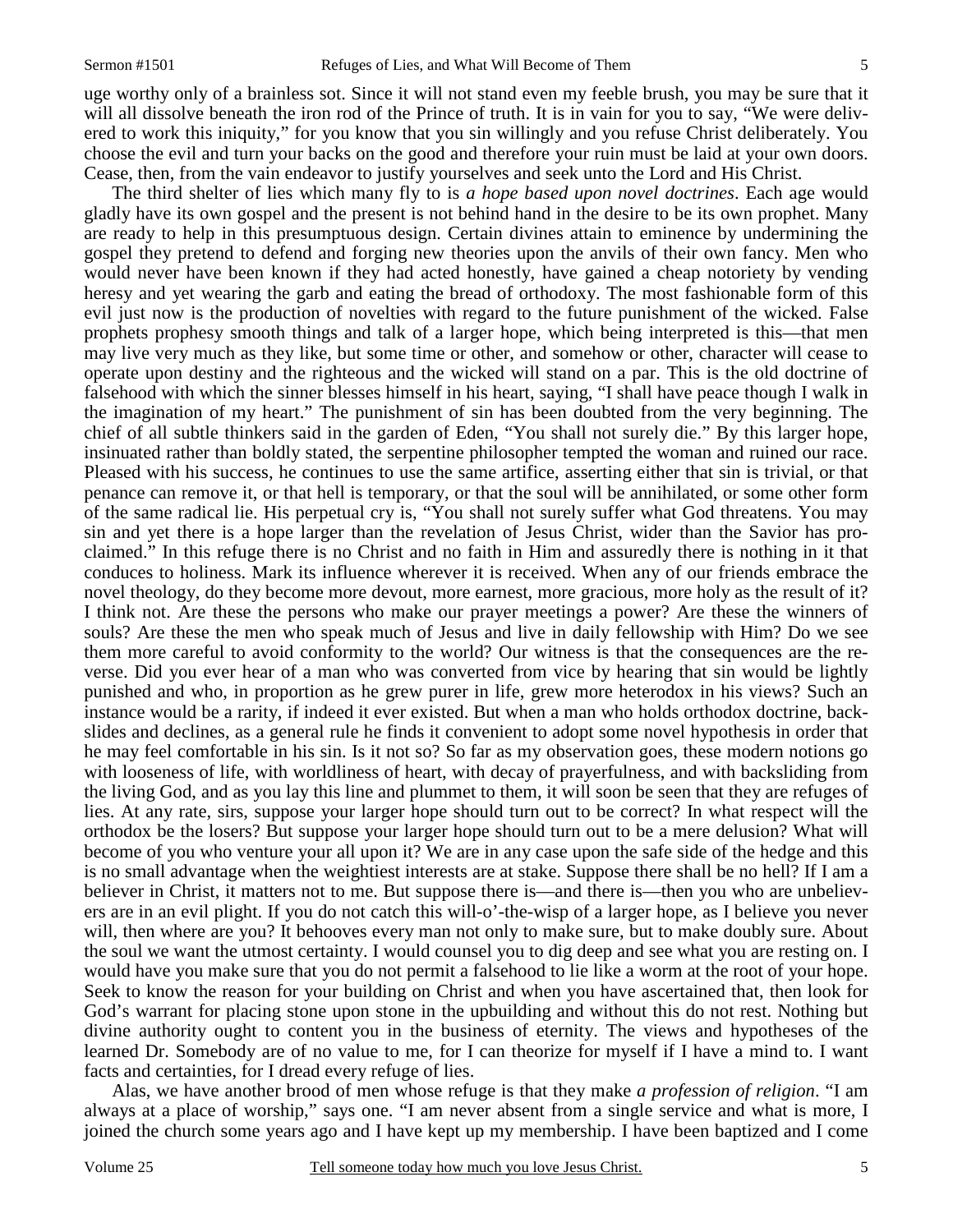uge worthy only of a brainless sot. Since it will not stand even my feeble brush, you may be sure that it will all dissolve beneath the iron rod of the Prince of truth. It is in vain for you to say, "We were delivered to work this iniquity," for you know that you sin willingly and you refuse Christ deliberately. You choose the evil and turn your backs on the good and therefore your ruin must be laid at your own doors. Cease, then, from the vain endeavor to justify yourselves and seek unto the Lord and His Christ.

 The third shelter of lies which many fly to is *a hope based upon novel doctrines*. Each age would gladly have its own gospel and the present is not behind hand in the desire to be its own prophet. Many are ready to help in this presumptuous design. Certain divines attain to eminence by undermining the gospel they pretend to defend and forging new theories upon the anvils of their own fancy. Men who would never have been known if they had acted honestly, have gained a cheap notoriety by vending heresy and yet wearing the garb and eating the bread of orthodoxy. The most fashionable form of this evil just now is the production of novelties with regard to the future punishment of the wicked. False prophets prophesy smooth things and talk of a larger hope, which being interpreted is this—that men may live very much as they like, but some time or other, and somehow or other, character will cease to operate upon destiny and the righteous and the wicked will stand on a par. This is the old doctrine of falsehood with which the sinner blesses himself in his heart, saying, "I shall have peace though I walk in the imagination of my heart." The punishment of sin has been doubted from the very beginning. The chief of all subtle thinkers said in the garden of Eden, "You shall not surely die." By this larger hope, insinuated rather than boldly stated, the serpentine philosopher tempted the woman and ruined our race. Pleased with his success, he continues to use the same artifice, asserting either that sin is trivial, or that penance can remove it, or that hell is temporary, or that the soul will be annihilated, or some other form of the same radical lie. His perpetual cry is, "You shall not surely suffer what God threatens. You may sin and yet there is a hope larger than the revelation of Jesus Christ, wider than the Savior has proclaimed." In this refuge there is no Christ and no faith in Him and assuredly there is nothing in it that conduces to holiness. Mark its influence wherever it is received. When any of our friends embrace the novel theology, do they become more devout, more earnest, more gracious, more holy as the result of it? I think not. Are these the persons who make our prayer meetings a power? Are these the winners of souls? Are these the men who speak much of Jesus and live in daily fellowship with Him? Do we see them more careful to avoid conformity to the world? Our witness is that the consequences are the reverse. Did you ever hear of a man who was converted from vice by hearing that sin would be lightly punished and who, in proportion as he grew purer in life, grew more heterodox in his views? Such an instance would be a rarity, if indeed it ever existed. But when a man who holds orthodox doctrine, backslides and declines, as a general rule he finds it convenient to adopt some novel hypothesis in order that he may feel comfortable in his sin. Is it not so? So far as my observation goes, these modern notions go with looseness of life, with worldliness of heart, with decay of prayerfulness, and with backsliding from the living God, and as you lay this line and plummet to them, it will soon be seen that they are refuges of lies. At any rate, sirs, suppose your larger hope should turn out to be correct? In what respect will the orthodox be the losers? But suppose your larger hope should turn out to be a mere delusion? What will become of you who venture your all upon it? We are in any case upon the safe side of the hedge and this is no small advantage when the weightiest interests are at stake. Suppose there shall be no hell? If I am a believer in Christ, it matters not to me. But suppose there is—and there is—then you who are unbelievers are in an evil plight. If you do not catch this will-o'-the-wisp of a larger hope, as I believe you never will, then where are you? It behooves every man not only to make sure, but to make doubly sure. About the soul we want the utmost certainty. I would counsel you to dig deep and see what you are resting on. I would have you make sure that you do not permit a falsehood to lie like a worm at the root of your hope. Seek to know the reason for your building on Christ and when you have ascertained that, then look for God's warrant for placing stone upon stone in the upbuilding and without this do not rest. Nothing but divine authority ought to content you in the business of eternity. The views and hypotheses of the learned Dr. Somebody are of no value to me, for I can theorize for myself if I have a mind to. I want facts and certainties, for I dread every refuge of lies.

 Alas, we have another brood of men whose refuge is that they make *a profession of religion*. "I am always at a place of worship," says one. "I am never absent from a single service and what is more, I joined the church some years ago and I have kept up my membership. I have been baptized and I come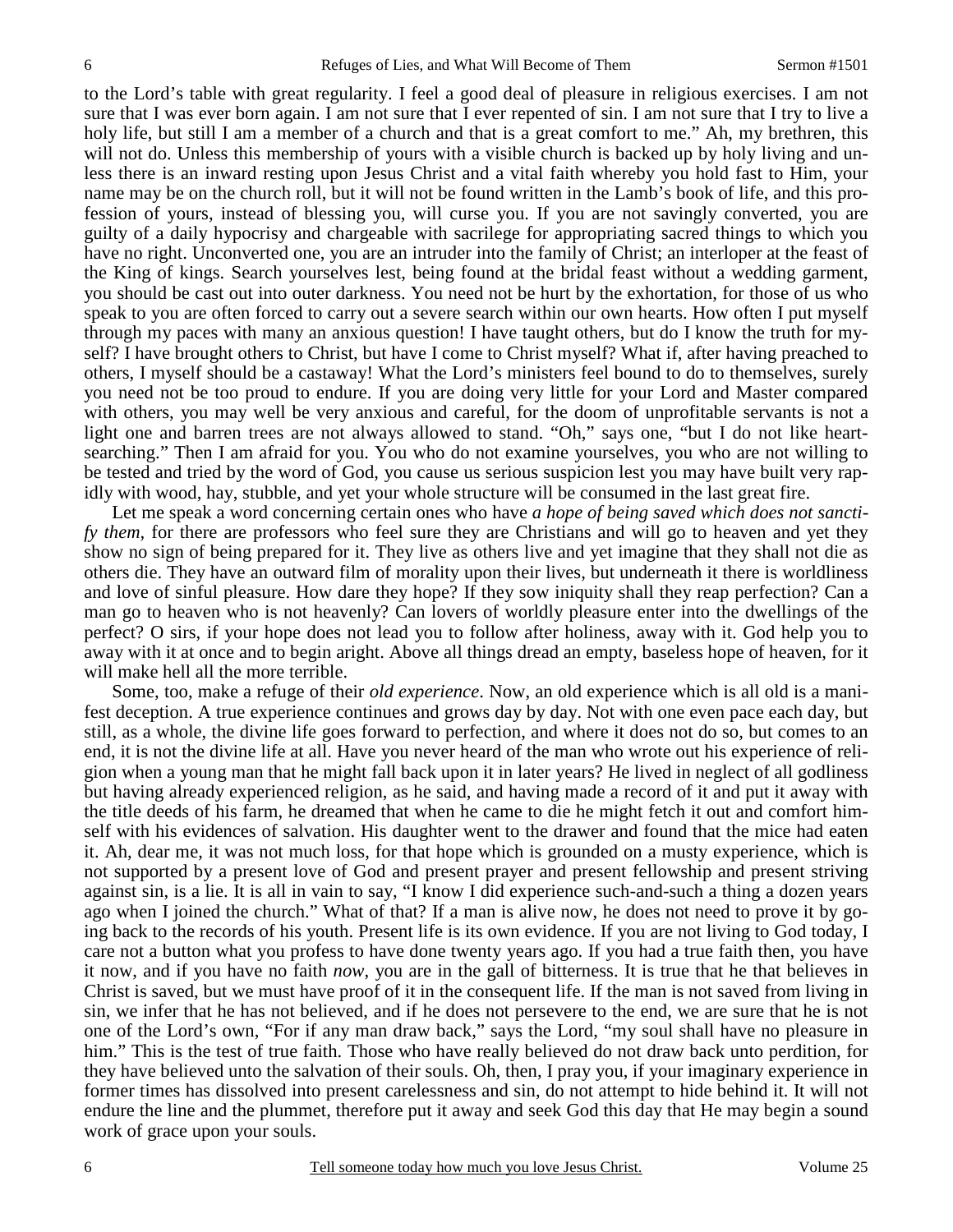to the Lord's table with great regularity. I feel a good deal of pleasure in religious exercises. I am not sure that I was ever born again. I am not sure that I ever repented of sin. I am not sure that I try to live a holy life, but still I am a member of a church and that is a great comfort to me." Ah, my brethren, this will not do. Unless this membership of yours with a visible church is backed up by holy living and unless there is an inward resting upon Jesus Christ and a vital faith whereby you hold fast to Him, your name may be on the church roll, but it will not be found written in the Lamb's book of life, and this profession of yours, instead of blessing you, will curse you. If you are not savingly converted, you are guilty of a daily hypocrisy and chargeable with sacrilege for appropriating sacred things to which you have no right. Unconverted one, you are an intruder into the family of Christ; an interloper at the feast of the King of kings. Search yourselves lest, being found at the bridal feast without a wedding garment, you should be cast out into outer darkness. You need not be hurt by the exhortation, for those of us who speak to you are often forced to carry out a severe search within our own hearts. How often I put myself through my paces with many an anxious question! I have taught others, but do I know the truth for myself? I have brought others to Christ, but have I come to Christ myself? What if, after having preached to others, I myself should be a castaway! What the Lord's ministers feel bound to do to themselves*,* surely you need not be too proud to endure. If you are doing very little for your Lord and Master compared with others, you may well be very anxious and careful, for the doom of unprofitable servants is not a light one and barren trees are not always allowed to stand. "Oh," says one, "but I do not like heartsearching." Then I am afraid for you. You who do not examine yourselves, you who are not willing to be tested and tried by the word of God, you cause us serious suspicion lest you may have built very rapidly with wood, hay, stubble, and yet your whole structure will be consumed in the last great fire.

 Let me speak a word concerning certain ones who have *a hope of being saved which does not sanctify them,* for there are professors who feel sure they are Christians and will go to heaven and yet they show no sign of being prepared for it. They live as others live and yet imagine that they shall not die as others die. They have an outward film of morality upon their lives, but underneath it there is worldliness and love of sinful pleasure. How dare they hope? If they sow iniquity shall they reap perfection? Can a man go to heaven who is not heavenly? Can lovers of worldly pleasure enter into the dwellings of the perfect? O sirs, if your hope does not lead you to follow after holiness, away with it. God help you to away with it at once and to begin aright. Above all things dread an empty, baseless hope of heaven, for it will make hell all the more terrible.

 Some, too, make a refuge of their *old experience*. Now, an old experience which is all old is a manifest deception. A true experience continues and grows day by day. Not with one even pace each day, but still, as a whole, the divine life goes forward to perfection, and where it does not do so, but comes to an end, it is not the divine life at all. Have you never heard of the man who wrote out his experience of religion when a young man that he might fall back upon it in later years? He lived in neglect of all godliness but having already experienced religion, as he said, and having made a record of it and put it away with the title deeds of his farm, he dreamed that when he came to die he might fetch it out and comfort himself with his evidences of salvation. His daughter went to the drawer and found that the mice had eaten it. Ah, dear me, it was not much loss, for that hope which is grounded on a musty experience, which is not supported by a present love of God and present prayer and present fellowship and present striving against sin, is a lie. It is all in vain to say, "I know I did experience such-and-such a thing a dozen years ago when I joined the church." What of that? If a man is alive now, he does not need to prove it by going back to the records of his youth. Present life is its own evidence. If you are not living to God today, I care not a button what you profess to have done twenty years ago. If you had a true faith then, you have it now, and if you have no faith *now*, you are in the gall of bitterness. It is true that he that believes in Christ is saved, but we must have proof of it in the consequent life. If the man is not saved from living in sin, we infer that he has not believed, and if he does not persevere to the end, we are sure that he is not one of the Lord's own, "For if any man draw back," says the Lord, "my soul shall have no pleasure in him." This is the test of true faith. Those who have really believed do not draw back unto perdition, for they have believed unto the salvation of their souls. Oh, then, I pray you, if your imaginary experience in former times has dissolved into present carelessness and sin, do not attempt to hide behind it. It will not endure the line and the plummet, therefore put it away and seek God this day that He may begin a sound work of grace upon your souls.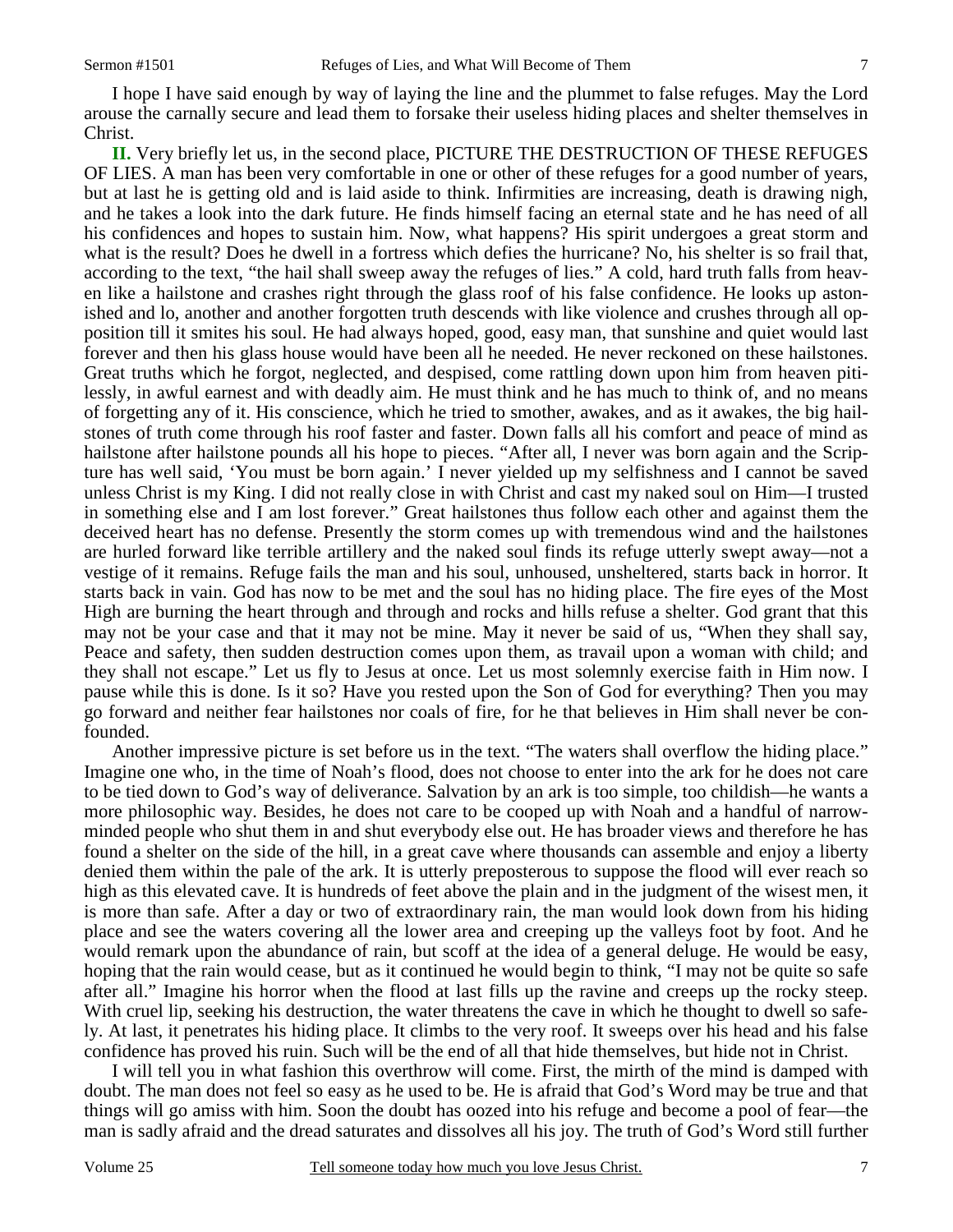I hope I have said enough by way of laying the line and the plummet to false refuges. May the Lord arouse the carnally secure and lead them to forsake their useless hiding places and shelter themselves in Christ.

**II.** Very briefly let us, in the second place, PICTURE THE DESTRUCTION OF THESE REFUGES OF LIES. A man has been very comfortable in one or other of these refuges for a good number of years, but at last he is getting old and is laid aside to think. Infirmities are increasing, death is drawing nigh, and he takes a look into the dark future. He finds himself facing an eternal state and he has need of all his confidences and hopes to sustain him. Now, what happens? His spirit undergoes a great storm and what is the result? Does he dwell in a fortress which defies the hurricane? No, his shelter is so frail that, according to the text, "the hail shall sweep away the refuges of lies." A cold, hard truth falls from heaven like a hailstone and crashes right through the glass roof of his false confidence. He looks up astonished and lo, another and another forgotten truth descends with like violence and crushes through all opposition till it smites his soul. He had always hoped, good, easy man, that sunshine and quiet would last forever and then his glass house would have been all he needed. He never reckoned on these hailstones. Great truths which he forgot, neglected, and despised, come rattling down upon him from heaven pitilessly, in awful earnest and with deadly aim. He must think and he has much to think of, and no means of forgetting any of it. His conscience, which he tried to smother, awakes, and as it awakes, the big hailstones of truth come through his roof faster and faster. Down falls all his comfort and peace of mind as hailstone after hailstone pounds all his hope to pieces. "After all, I never was born again and the Scripture has well said, 'You must be born again.' I never yielded up my selfishness and I cannot be saved unless Christ is my King. I did not really close in with Christ and cast my naked soul on Him—I trusted in something else and I am lost forever." Great hailstones thus follow each other and against them the deceived heart has no defense. Presently the storm comes up with tremendous wind and the hailstones are hurled forward like terrible artillery and the naked soul finds its refuge utterly swept away—not a vestige of it remains. Refuge fails the man and his soul, unhoused, unsheltered, starts back in horror. It starts back in vain. God has now to be met and the soul has no hiding place. The fire eyes of the Most High are burning the heart through and through and rocks and hills refuse a shelter. God grant that this may not be your case and that it may not be mine. May it never be said of us, "When they shall say, Peace and safety, then sudden destruction comes upon them, as travail upon a woman with child; and they shall not escape." Let us fly to Jesus at once. Let us most solemnly exercise faith in Him now. I pause while this is done. Is it so? Have you rested upon the Son of God for everything? Then you may go forward and neither fear hailstones nor coals of fire, for he that believes in Him shall never be confounded.

 Another impressive picture is set before us in the text. "The waters shall overflow the hiding place." Imagine one who, in the time of Noah's flood, does not choose to enter into the ark for he does not care to be tied down to God's way of deliverance. Salvation by an ark is too simple, too childish—he wants a more philosophic way. Besides, he does not care to be cooped up with Noah and a handful of narrowminded people who shut them in and shut everybody else out. He has broader views and therefore he has found a shelter on the side of the hill, in a great cave where thousands can assemble and enjoy a liberty denied them within the pale of the ark. It is utterly preposterous to suppose the flood will ever reach so high as this elevated cave. It is hundreds of feet above the plain and in the judgment of the wisest men, it is more than safe. After a day or two of extraordinary rain, the man would look down from his hiding place and see the waters covering all the lower area and creeping up the valleys foot by foot. And he would remark upon the abundance of rain, but scoff at the idea of a general deluge. He would be easy, hoping that the rain would cease, but as it continued he would begin to think, "I may not be quite so safe after all." Imagine his horror when the flood at last fills up the ravine and creeps up the rocky steep. With cruel lip, seeking his destruction, the water threatens the cave in which he thought to dwell so safely. At last, it penetrates his hiding place. It climbs to the very roof. It sweeps over his head and his false confidence has proved his ruin. Such will be the end of all that hide themselves, but hide not in Christ.

 I will tell you in what fashion this overthrow will come. First, the mirth of the mind is damped with doubt. The man does not feel so easy as he used to be. He is afraid that God's Word may be true and that things will go amiss with him. Soon the doubt has oozed into his refuge and become a pool of fear—the man is sadly afraid and the dread saturates and dissolves all his joy. The truth of God's Word still further